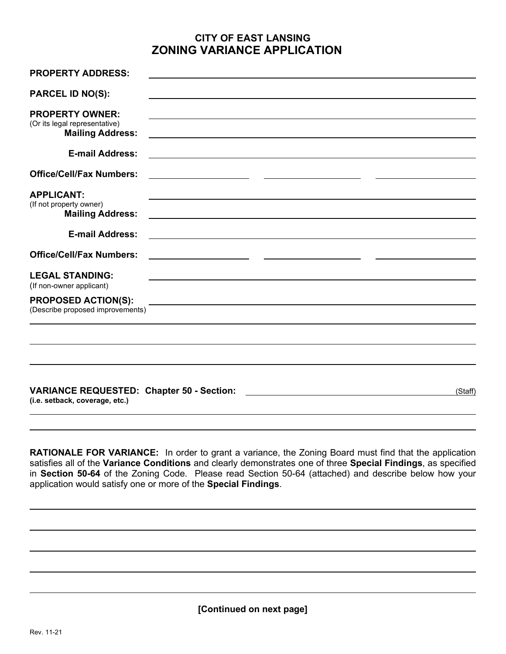## **CITY OF EAST LANSING ZONING VARIANCE APPLICATION**

| <b>PROPERTY ADDRESS:</b>                                                           |                                                                                                                      |
|------------------------------------------------------------------------------------|----------------------------------------------------------------------------------------------------------------------|
| <b>PARCEL ID NO(S):</b>                                                            |                                                                                                                      |
| <b>PROPERTY OWNER:</b><br>(Or its legal representative)                            |                                                                                                                      |
| <b>Mailing Address:</b>                                                            | <u> 1989 - Johann Barn, amerikan bernama di sebagai bernama dan bernama di sebagai bernama dalam bernama dalam b</u> |
| <b>E-mail Address:</b>                                                             | <u> 1989 - Johann Stein, marwolaethau a bhann an t-Amhair an t-Amhair an t-Amhair an t-Amhair an t-Amhair an t-A</u> |
| <b>Office/Cell/Fax Numbers:</b>                                                    |                                                                                                                      |
| <b>APPLICANT:</b>                                                                  |                                                                                                                      |
| (If not property owner)<br><b>Mailing Address:</b>                                 |                                                                                                                      |
| <b>E-mail Address:</b>                                                             |                                                                                                                      |
| <b>Office/Cell/Fax Numbers:</b>                                                    |                                                                                                                      |
| <b>LEGAL STANDING:</b>                                                             |                                                                                                                      |
| (If non-owner applicant)<br><b>PROPOSED ACTION(S):</b>                             |                                                                                                                      |
| (Describe proposed improvements)                                                   | and the control of the control of the control of the control of the control of the control of the control of the     |
|                                                                                    |                                                                                                                      |
|                                                                                    |                                                                                                                      |
|                                                                                    |                                                                                                                      |
| <b>VARIANCE REQUESTED: Chapter 50 - Section:</b><br>(i.e. setback, coverage, etc.) | (Staff)                                                                                                              |
|                                                                                    |                                                                                                                      |

**RATIONALE FOR VARIANCE:** In order to grant a variance, the Zoning Board must find that the application satisfies all of the **Variance Conditions** and clearly demonstrates one of three **Special Findings**, as specified in **Section 50-64** of the Zoning Code. Please read Section 50-64 (attached) and describe below how your application would satisfy one or more of the **Special Findings**.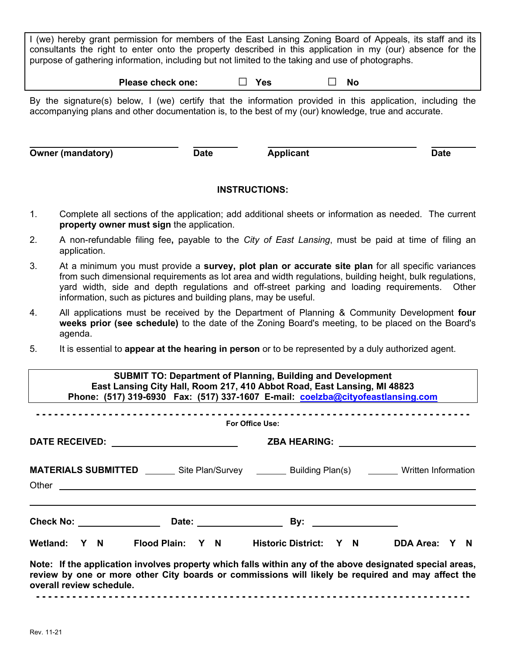I (we) hereby grant permission for members of the East Lansing Zoning Board of Appeals, its staff and its consultants the right to enter onto the property described in this application in my (our) absence for the purpose of gathering information, including but not limited to the taking and use of photographs.

**Please check one: □ Yes □ No**

By the signature(s) below, I (we) certify that the information provided in this application, including the accompanying plans and other documentation is, to the best of my (our) knowledge, true and accurate.

**Owner** (mandatory) **Date Date Applicant Date Date** 

## **INSTRUCTIONS:**

- 1. Complete all sections of the application; add additional sheets or information as needed. The current **property owner must sign** the application.
- 2. A non-refundable filing fee**,** payable to the *City of East Lansing*, must be paid at time of filing an application.
- 3. At a minimum you must provide a **survey, plot plan or accurate site plan** for all specific variances from such dimensional requirements as lot area and width regulations, building height, bulk regulations, yard width, side and depth regulations and off-street parking and loading requirements. Other information, such as pictures and building plans, may be useful.
- 4. All applications must be received by the Department of Planning & Community Development **four weeks prior (see schedule)** to the date of the Zoning Board's meeting, to be placed on the Board's agenda.
- 5. It is essential to **appear at the hearing in person** or to be represented by a duly authorized agent.

| <b>SUBMIT TO: Department of Planning, Building and Development</b><br>East Lansing City Hall, Room 217, 410 Abbot Road, East Lansing, MI 48823<br>Phone: (517) 319-6930 Fax: (517) 337-1607 E-mail: coelzba@cityofeastlansing.com<br><b>For Office Use:</b> |                                                                                                                                                                                                                                |                                                                                                                                                                                                                                                                                     |  |  |
|-------------------------------------------------------------------------------------------------------------------------------------------------------------------------------------------------------------------------------------------------------------|--------------------------------------------------------------------------------------------------------------------------------------------------------------------------------------------------------------------------------|-------------------------------------------------------------------------------------------------------------------------------------------------------------------------------------------------------------------------------------------------------------------------------------|--|--|
|                                                                                                                                                                                                                                                             |                                                                                                                                                                                                                                |                                                                                                                                                                                                                                                                                     |  |  |
|                                                                                                                                                                                                                                                             | Other contact the contact of the contact of the contact of the contact of the contact of the contact of the contact of the contact of the contact of the contact of the contact of the contact of the contact of the contact o | <b>MATERIALS SUBMITTED</b> ________ Site Plan/Survey ________ Building Plan(s) _______ Written Information                                                                                                                                                                          |  |  |
|                                                                                                                                                                                                                                                             |                                                                                                                                                                                                                                |                                                                                                                                                                                                                                                                                     |  |  |
| overall review schedule.                                                                                                                                                                                                                                    |                                                                                                                                                                                                                                | Wetland: Y N Flood Plain: Y N Historic District: Y N DDA Area: Y N<br>Note: If the application involves property which falls within any of the above designated special areas,<br>review by one or more other City boards or commissions will likely be required and may affect the |  |  |